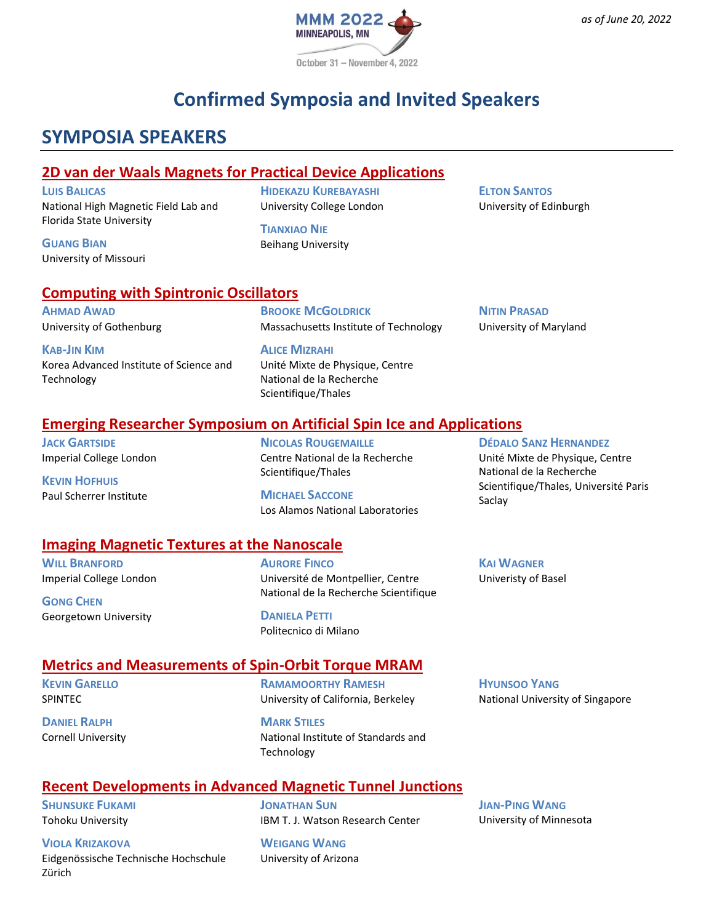

# **Confirmed Symposia and Invited Speakers**

## **SYMPOSIA SPEAKERS**

#### **2D van der Waals Magnets for Practical Device Applications**

**LUIS BALICAS** National High Magnetic Field Lab and Florida State University

**GUANG BIAN** University of Missouri

**HIDEKAZU KUREBAYASHI** University College London

**TIANXIAO NIE** Beihang University **ELTON SANTOS** University of Edinburgh

**NITIN PRASAD**

Saclay

**KAI WAGNER** Univeristy of Basel

University of Maryland

**DÉDALO SANZ HERNANDEZ** Unité Mixte de Physique, Centre National de la Recherche

Scientifique/Thales, Université Paris

#### **Computing with Spintronic Oscillators**

**AHMAD AWAD** University of Gothenburg

**KAB-JIN KIM** Korea Advanced Institute of Science and Technology

**BROOKE MCGOLDRICK** Massachusetts Institute of Technology

**ALICE MIZRAHI** Unité Mixte de Physique, Centre National de la Recherche Scientifique/Thales

#### **Emerging Researcher Symposium on Artificial Spin Ice and Applications**

**JACK GARTSIDE** Imperial College London

**KEVIN HOFHUIS** Paul Scherrer Institute

**NICOLAS ROUGEMAILLE** Centre National de la Recherche Scientifique/Thales

**MICHAEL SACCONE** Los Alamos National Laboratories

#### **Imaging Magnetic Textures at the Nanoscale**

**WILL BRANFORD** Imperial College London

**GONG CHEN** Georgetown University

**AURORE FINCO** Université de Montpellier, Centre National de la Recherche Scientifique

**DANIELA PETTI** Politecnico di Milano

#### **Metrics and Measurements of Spin-Orbit Torque MRAM**

**KEVIN GARELLO** SPINTEC

**DANIEL RALPH** Cornell University

**RAMAMOORTHY RAMESH** University of California, Berkeley

**MARK STILES** National Institute of Standards and Technology

**HYUNSOO YANG** National University of Singapore

### **Recent Developments in Advanced Magnetic Tunnel Junctions**

**SHUNSUKE FUKAMI** Tohoku University

**VIOLA KRIZAKOVA** Eidgenössische Technische Hochschule Zürich

**JONATHAN SUN** IBM T. J. Watson Research Center

**WEIGANG WANG** University of Arizona **JIAN-PING WANG** University of Minnesota